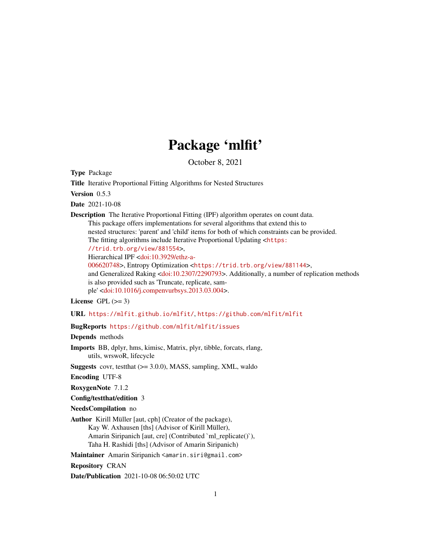## Package 'mlfit'

October 8, 2021

<span id="page-0-0"></span>Type Package

Title Iterative Proportional Fitting Algorithms for Nested Structures

Version 0.5.3

Date 2021-10-08

Description The Iterative Proportional Fitting (IPF) algorithm operates on count data. This package offers implementations for several algorithms that extend this to nested structures: 'parent' and 'child' items for both of which constraints can be provided. The fitting algorithms include Iterative Proportional Updating <[https:](https://trid.trb.org/view/881554) [//trid.trb.org/view/881554](https://trid.trb.org/view/881554)>, Hierarchical IPF [<doi:10.3929/ethz-a-](https://doi.org/10.3929/ethz-a-006620748)[006620748>](https://doi.org/10.3929/ethz-a-006620748), Entropy Optimization <<https://trid.trb.org/view/881144>>, and Generalized Raking [<doi:10.2307/2290793>](https://doi.org/10.2307/2290793). Additionally, a number of replication methods is also provided such as 'Truncate, replicate, sample' [<doi:10.1016/j.compenvurbsys.2013.03.004>](https://doi.org/10.1016/j.compenvurbsys.2013.03.004).

License GPL  $(>= 3)$ 

URL <https://mlfit.github.io/mlfit/>, <https://github.com/mlfit/mlfit>

BugReports <https://github.com/mlfit/mlfit/issues>

Depends methods

Imports BB, dplyr, hms, kimisc, Matrix, plyr, tibble, forcats, rlang, utils, wrswoR, lifecycle

**Suggests** covr, test that  $(>= 3.0.0)$ , MASS, sampling, XML, waldo

Encoding UTF-8

RoxygenNote 7.1.2

Config/testthat/edition 3

NeedsCompilation no

Author Kirill Müller [aut, cph] (Creator of the package),

Kay W. Axhausen [ths] (Advisor of Kirill Müller), Amarin Siripanich [aut, cre] (Contributed `ml\_replicate()`), Taha H. Rashidi [ths] (Advisor of Amarin Siripanich)

Maintainer Amarin Siripanich <amarin.siri@gmail.com>

Repository CRAN

Date/Publication 2021-10-08 06:50:02 UTC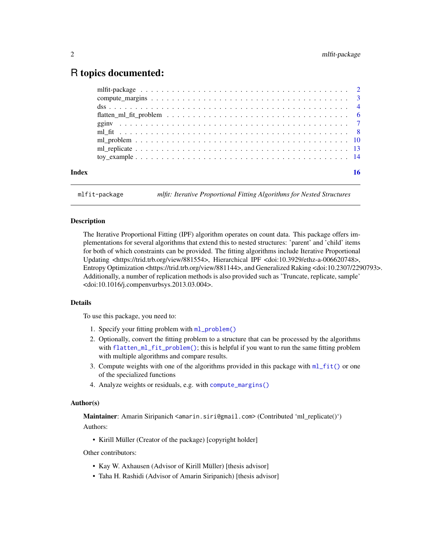#### <span id="page-1-0"></span>R topics documented:

mlfit-package *mlfit: Iterative Proportional Fitting Algorithms for Nested Structures*

#### <span id="page-1-1"></span>Description

The Iterative Proportional Fitting (IPF) algorithm operates on count data. This package offers implementations for several algorithms that extend this to nested structures: 'parent' and 'child' items for both of which constraints can be provided. The fitting algorithms include Iterative Proportional Updating <https://trid.trb.org/view/881554>, Hierarchical IPF <doi:10.3929/ethz-a-006620748>, Entropy Optimization <https://trid.trb.org/view/881144>, and Generalized Raking <doi:10.2307/2290793>. Additionally, a number of replication methods is also provided such as 'Truncate, replicate, sample' <doi:10.1016/j.compenvurbsys.2013.03.004>.

#### Details

To use this package, you need to:

- 1. Specify your fitting problem with [ml\\_problem\(\)](#page-9-1)
- 2. Optionally, convert the fitting problem to a structure that can be processed by the algorithms with [flatten\\_ml\\_fit\\_problem\(\)](#page-5-1); this is helpful if you want to run the same fitting problem with multiple algorithms and compare results.
- 3. Compute weights with one of the algorithms provided in this package with  $m1$ -fit() or one of the specialized functions
- 4. Analyze weights or residuals, e.g. with [compute\\_margins\(\)](#page-2-1)

#### Author(s)

Maintainer: Amarin Siripanich <amarin.siri@gmail.com> (Contributed 'ml\_replicate()') Authors:

• Kirill Müller (Creator of the package) [copyright holder]

Other contributors:

- Kay W. Axhausen (Advisor of Kirill Müller) [thesis advisor]
- Taha H. Rashidi (Advisor of Amarin Siripanich) [thesis advisor]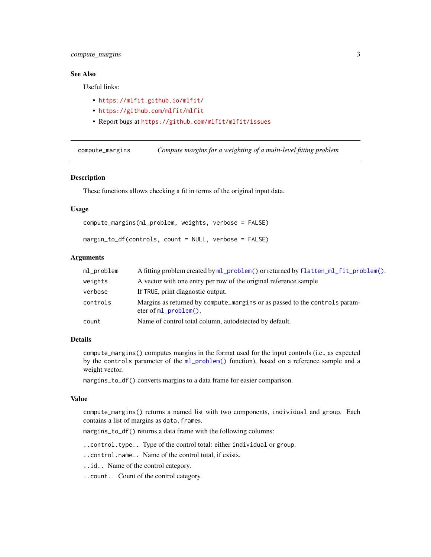#### <span id="page-2-0"></span>compute\_margins 3

#### See Also

Useful links:

- <https://mlfit.github.io/mlfit/>
- <https://github.com/mlfit/mlfit>
- Report bugs at <https://github.com/mlfit/mlfit/issues>

<span id="page-2-1"></span>compute\_margins *Compute margins for a weighting of a multi-level fitting problem*

#### Description

These functions allows checking a fit in terms of the original input data.

#### Usage

```
compute_margins(ml_problem, weights, verbose = FALSE)
```
margin\_to\_df(controls, count = NULL, verbose = FALSE)

#### Arguments

| ml_problem | A fitting problem created by ml_problem() or returned by flatten_ml_fit_problem().                    |
|------------|-------------------------------------------------------------------------------------------------------|
| weights    | A vector with one entry per row of the original reference sample                                      |
| verbose    | If TRUE, print diagnostic output.                                                                     |
| controls   | Margins as returned by compute_margins or as passed to the controls param-<br>eter of $m1$ problem(). |
| count      | Name of control total column, autodetected by default.                                                |

#### Details

compute\_margins() computes margins in the format used for the input controls (i.e., as expected by the controls parameter of the [ml\\_problem\(\)](#page-9-1) function), based on a reference sample and a weight vector.

margins\_to\_df() converts margins to a data frame for easier comparison.

#### Value

compute\_margins() returns a named list with two components, individual and group. Each contains a list of margins as data.frames.

margins\_to\_df() returns a data frame with the following columns:

..control.type.. Type of the control total: either individual or group.

..control.name.. Name of the control total, if exists.

..id.. Name of the control category.

..count.. Count of the control category.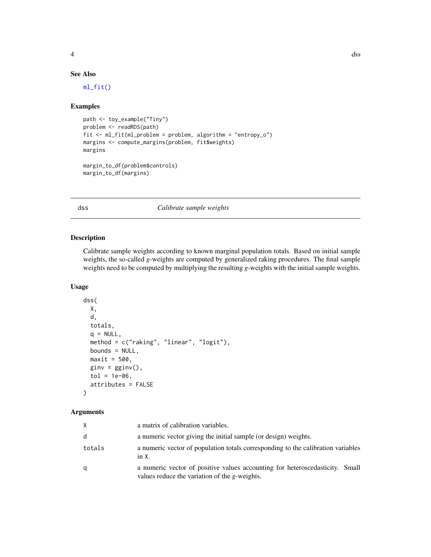#### <span id="page-3-0"></span>See Also

[ml\\_fit\(\)](#page-7-1)

#### Examples

```
path <- toy_example("Tiny")
problem <- readRDS(path)
fit <- ml_fit(ml_problem = problem, algorithm = "entropy_o")
margins <- compute_margins(problem, fit$weights)
margins
margin_to_df(problem$controls)
```

```
margin_to_df(margins)
```
<span id="page-3-1"></span>dss *Calibrate sample weights*

#### Description

Calibrate sample weights according to known marginal population totals. Based on initial sample weights, the so-called *g*-weights are computed by generalized raking procedures. The final sample weights need to be computed by multiplying the resulting *g*-weights with the initial sample weights.

#### Usage

```
dss(
 X,
 d,
  totals,
  q = NULL,
 method = c("raking", "linear", "logit"),
 bounds = NULL,
 maxit = 500,
 ginv = gginv(),
  tol = 1e-06,attributes = FALSE
)
```
#### Arguments

| X      | a matrix of calibration variables.                                                                                                    |
|--------|---------------------------------------------------------------------------------------------------------------------------------------|
| d      | a numeric vector giving the initial sample (or design) weights.                                                                       |
| totals | a numeric vector of population totals corresponding to the calibration variables<br>$in X$ .                                          |
| q      | a numeric vector of positive values accounting for heteroscedasticity. Small<br>values reduce the variation of the <i>g</i> -weights. |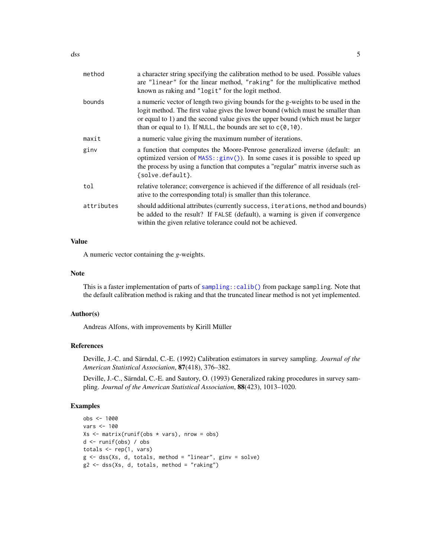<span id="page-4-0"></span>

| method     | a character string specifying the calibration method to be used. Possible values<br>are "linear" for the linear method, "raking" for the multiplicative method<br>known as raking and "logit" for the logit method.                                                                                                        |
|------------|----------------------------------------------------------------------------------------------------------------------------------------------------------------------------------------------------------------------------------------------------------------------------------------------------------------------------|
| bounds     | a numeric vector of length two giving bounds for the g-weights to be used in the<br>logit method. The first value gives the lower bound (which must be smaller than<br>or equal to 1) and the second value gives the upper bound (which must be larger<br>than or equal to 1). If NULL, the bounds are set to $c(0, 10)$ . |
| maxit      | a numeric value giving the maximum number of iterations.                                                                                                                                                                                                                                                                   |
| ginv       | a function that computes the Moore-Penrose generalized inverse (default: an<br>optimized version of $MASS: :ginv()$ ). In some cases it is possible to speed up<br>the process by using a function that computes a "regular" matrix inverse such as<br>{solve.default}.                                                    |
| tol        | relative tolerance; convergence is achieved if the difference of all residuals (rel-<br>ative to the corresponding total) is smaller than this tolerance.                                                                                                                                                                  |
| attributes | should additional attributes (currently success, iterations, method and bounds)<br>be added to the result? If FALSE (default), a warning is given if convergence<br>within the given relative tolerance could not be achieved.                                                                                             |

#### Value

A numeric vector containing the *g*-weights.

#### Note

This is a faster implementation of parts of [sampling::calib\(\)](#page-0-0) from package sampling. Note that the default calibration method is raking and that the truncated linear method is not yet implemented.

#### Author(s)

Andreas Alfons, with improvements by Kirill Müller

#### References

Deville, J.-C. and Särndal, C.-E. (1992) Calibration estimators in survey sampling. *Journal of the American Statistical Association*, 87(418), 376–382.

Deville, J.-C., Särndal, C.-E. and Sautory, O. (1993) Generalized raking procedures in survey sampling. *Journal of the American Statistical Association*, 88(423), 1013–1020.

#### Examples

```
obs <- 1000
vars <- 100
Xs \leftarrow matrix(runif(obs * vars), nrow = obs)d <- runif(obs) / obs
totals <- rep(1, vars)
g <- dss(Xs, d, totals, method = "linear", ginv = solve)
g2 <- dss(Xs, d, totals, method = "raking")
```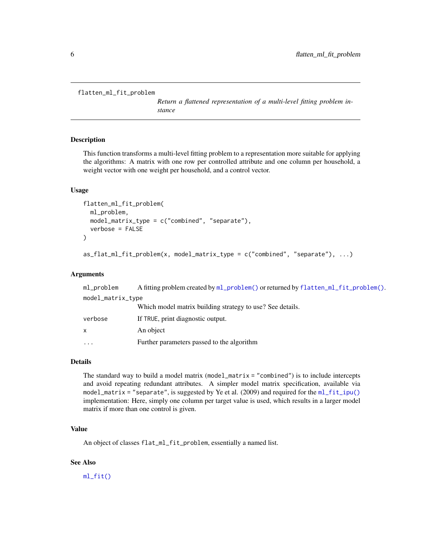```
flatten_ml_fit_problem
```
*Return a flattened representation of a multi-level fitting problem instance*

#### Description

This function transforms a multi-level fitting problem to a representation more suitable for applying the algorithms: A matrix with one row per controlled attribute and one column per household, a weight vector with one weight per household, and a control vector.

#### Usage

```
flatten_ml_fit_problem(
 ml_problem,
 model_matrix_type = c("combined", "separate"),
 verbose = FALSE
)
as_flat_ml_fit_problem(x, model_matrix_type = c("combined", "separate"), ...)
```
#### Arguments

| ml_problem        | A fitting problem created by ml_problem() or returned by flatten_ml_fit_problem(). |  |
|-------------------|------------------------------------------------------------------------------------|--|
| model_matrix_type |                                                                                    |  |
|                   | Which model matrix building strategy to use? See details.                          |  |
| verbose           | If TRUE, print diagnostic output.                                                  |  |
| X                 | An object                                                                          |  |
| .                 | Further parameters passed to the algorithm                                         |  |

#### Details

The standard way to build a model matrix (model\_matrix = "combined") is to include intercepts and avoid repeating redundant attributes. A simpler model matrix specification, available via model\_matrix = "separate", is suggested by Ye et al. (2009) and required for the [ml\\_fit\\_ipu\(\)](#page-7-2) implementation: Here, simply one column per target value is used, which results in a larger model matrix if more than one control is given.

#### Value

An object of classes flat\_ml\_fit\_problem, essentially a named list.

#### See Also

[ml\\_fit\(\)](#page-7-1)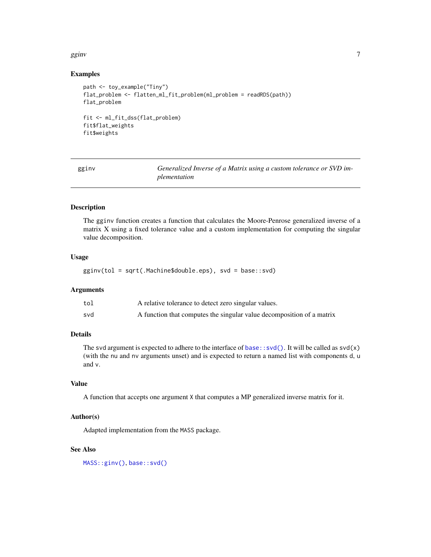#### <span id="page-6-0"></span>gginv  $\overline{7}$

#### Examples

```
path <- toy_example("Tiny")
flat_problem <- flatten_ml_fit_problem(ml_problem = readRDS(path))
flat_problem
fit <- ml_fit_dss(flat_problem)
fit$flat_weights
fit$weights
```
<span id="page-6-1"></span>

Generalized Inverse of a Matrix using a custom tolerance or SVD im*plementation*

#### Description

The gginv function creates a function that calculates the Moore-Penrose generalized inverse of a matrix X using a fixed tolerance value and a custom implementation for computing the singular value decomposition.

#### Usage

gginv(tol = sqrt(.Machine\$double.eps), svd = base::svd)

#### Arguments

| tol | A relative tolerance to detect zero singular values.                  |
|-----|-----------------------------------------------------------------------|
| svd | A function that computes the singular value decomposition of a matrix |

#### Details

The svd argument is expected to adhere to the interface of  $base::svd()$ . It will be called as  $svd(x)$ (with the nu and nv arguments unset) and is expected to return a named list with components d, u and v.

#### Value

A function that accepts one argument X that computes a MP generalized inverse matrix for it.

#### Author(s)

Adapted implementation from the MASS package.

#### See Also

[MASS::ginv\(\)](#page-0-0), [base::svd\(\)](#page-0-0)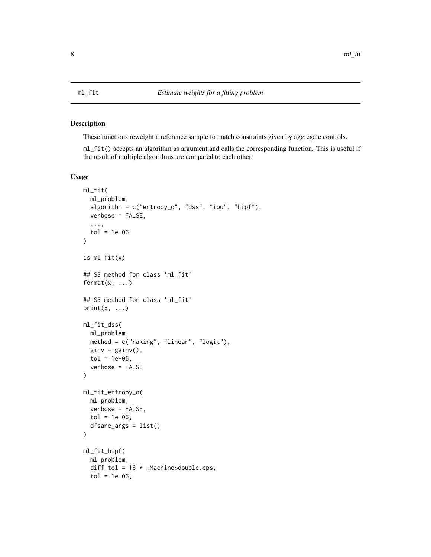<span id="page-7-1"></span><span id="page-7-0"></span>

#### <span id="page-7-2"></span>Description

These functions reweight a reference sample to match constraints given by aggregate controls.

ml\_fit() accepts an algorithm as argument and calls the corresponding function. This is useful if the result of multiple algorithms are compared to each other.

#### Usage

```
ml_fit(
  ml_problem,
  algorithm = c("entropy_o", "dss", "ipu", "hipf"),
  verbose = FALSE,
  ...,
  tol = 1e-06)
is_ml_fit(x)
## S3 method for class 'ml_fit'
format(x, \ldots)## S3 method for class 'ml_fit'
print(x, \ldots)ml_fit_dss(
  ml_problem,
  method = c("raking", "linear", "logit"),
  ginv = gginv(),
  tol = 1e-06,verbose = FALSE
\mathcal{E}ml_fit_entropy_o(
  ml_problem,
  verbose = FALSE,
  tol = 1e-06,
  dfsane_args = list()
\lambdaml_fit_hipf(
  ml_problem,
  diff_tol = 16 * .Machine$double.eps,
  tol = 1e-06,
```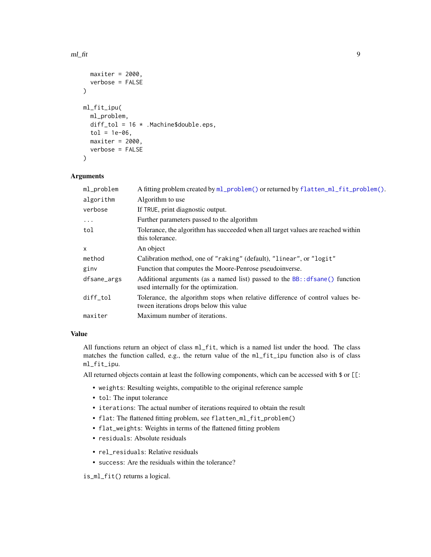```
maxiter = 2000,
 verbose = FALSE
\lambdaml_fit_ipu(
 ml_problem,
 diff_tol = 16 *. Machine$double.eps,
  tol = 1e-06,maxiter = 2000,
  verbose = FALSE
)
```
#### Arguments

| ml_problem   | A fitting problem created by ml_problem() or returned by flatten_ml_fit_problem().                                       |
|--------------|--------------------------------------------------------------------------------------------------------------------------|
| algorithm    | Algorithm to use                                                                                                         |
| verbose      | If TRUE, print diagnostic output.                                                                                        |
| $\ddots$     | Further parameters passed to the algorithm                                                                               |
| tol          | Tolerance, the algorithm has succeeded when all target values are reached within<br>this tolerance.                      |
| $\mathsf{x}$ | An object                                                                                                                |
| method       | Calibration method, one of "raking" (default), "linear", or "logit"                                                      |
| ginv         | Function that computes the Moore-Penrose pseudoinverse.                                                                  |
| dfsane_args  | Additional arguments (as a named list) passed to the $BB$ : $df\$<br>used internally for the optimization.               |
| diff_tol     | Tolerance, the algorithm stops when relative difference of control values be-<br>tween iterations drops below this value |
| maxiter      | Maximum number of iterations.                                                                                            |
|              |                                                                                                                          |

#### Value

All functions return an object of class  $mL$ -fit, which is a named list under the hood. The class matches the function called, e.g., the return value of the ml\_fit\_ipu function also is of class ml\_fit\_ipu.

All returned objects contain at least the following components, which can be accessed with \$ or [[:

- weights: Resulting weights, compatible to the original reference sample
- tol: The input tolerance
- iterations: The actual number of iterations required to obtain the result
- flat: The flattened fitting problem, see flatten\_ml\_fit\_problem()
- flat\_weights: Weights in terms of the flattened fitting problem
- residuals: Absolute residuals
- rel\_residuals: Relative residuals
- success: Are the residuals within the tolerance?

is\_ml\_fit() returns a logical.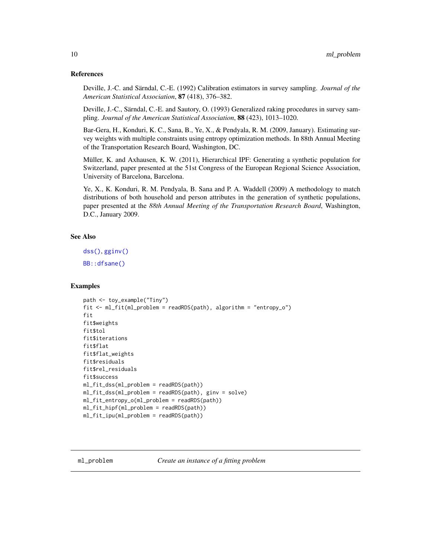#### <span id="page-9-0"></span>References

Deville, J.-C. and Särndal, C.-E. (1992) Calibration estimators in survey sampling. *Journal of the American Statistical Association*, 87 (418), 376–382.

Deville, J.-C., Särndal, C.-E. and Sautory, O. (1993) Generalized raking procedures in survey sampling. *Journal of the American Statistical Association*, 88 (423), 1013–1020.

Bar-Gera, H., Konduri, K. C., Sana, B., Ye, X., & Pendyala, R. M. (2009, January). Estimating survey weights with multiple constraints using entropy optimization methods. In 88th Annual Meeting of the Transportation Research Board, Washington, DC.

Müller, K. and Axhausen, K. W. (2011), Hierarchical IPF: Generating a synthetic population for Switzerland, paper presented at the 51st Congress of the European Regional Science Association, University of Barcelona, Barcelona.

Ye, X., K. Konduri, R. M. Pendyala, B. Sana and P. A. Waddell (2009) A methodology to match distributions of both household and person attributes in the generation of synthetic populations, paper presented at the *88th Annual Meeting of the Transportation Research Board*, Washington, D.C., January 2009.

#### See Also

```
dss(), gginv()
```
[BB::dfsane\(\)](#page-0-0)

#### Examples

```
path <- toy_example("Tiny")
fit <- ml_fit(ml_problem = readRDS(path), algorithm = "entropy_o")
fit
fit$weights
fit$tol
fit$iterations
fit$flat
fit$flat_weights
fit$residuals
fit$rel_residuals
fit$success
ml_fit_dss(ml_problem = readRDS(path))
ml_fit_dss(ml_problem = readRDS(path), ginv = solve)
ml_fit_entropy_o(ml_problem = readRDS(path))
ml_fit_hipf(ml_problem = readRDS(path))
ml_fit_ipu(ml_problem = readRDS(path))
```
<span id="page-9-1"></span>ml\_problem *Create an instance of a fitting problem*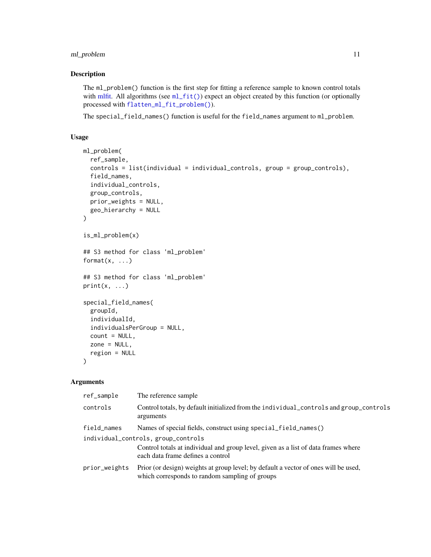#### <span id="page-10-0"></span>ml\_problem 11

#### Description

The ml\_problem() function is the first step for fitting a reference sample to known control totals with [mlfit.](#page-1-1) All algorithms (see [ml\\_fit\(\)](#page-7-1)) expect an object created by this function (or optionally processed with [flatten\\_ml\\_fit\\_problem\(\)](#page-5-1)).

The special\_field\_names() function is useful for the field\_names argument to ml\_problem.

#### Usage

```
ml_problem(
  ref_sample,
  controls = list(individual = individual_controls, group = group_controls),
  field_names,
  individual_controls,
  group_controls,
 prior_weights = NULL,
  geo_hierarchy = NULL
)
is_ml_problem(x)
## S3 method for class 'ml_problem'
format(x, \ldots)## S3 method for class 'ml_problem'
print(x, \ldots)special_field_names(
 groupId,
  individualId,
  individualsPerGroup = NULL,
  count = NULL,zone = NULL,
  region = NULL
```
)

#### Arguments

| ref_sample    | The reference sample                                                                                                                                           |
|---------------|----------------------------------------------------------------------------------------------------------------------------------------------------------------|
| controls      | Control totals, by default initialized from the individual_controls and group_controls<br>arguments                                                            |
| field_names   | Names of special fields, construct using special_field_names()                                                                                                 |
|               | individual_controls, group_controls<br>Control totals at individual and group level, given as a list of data frames where<br>each data frame defines a control |
| prior_weights | Prior (or design) weights at group level; by default a vector of ones will be used,<br>which corresponds to random sampling of groups                          |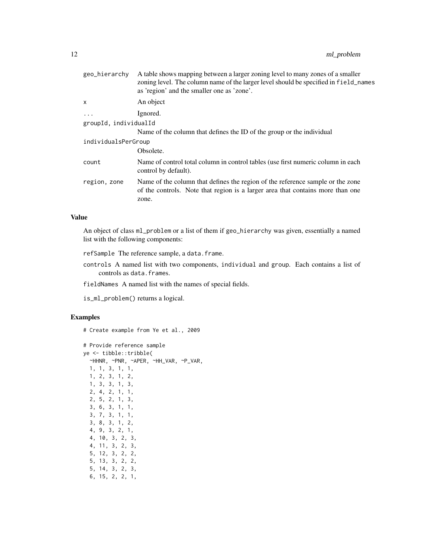| A table shows mapping between a larger zoning level to many zones of a smaller<br>zoning level. The column name of the larger level should be specified in field_names<br>as 'region' and the smaller one as 'zone'. |
|----------------------------------------------------------------------------------------------------------------------------------------------------------------------------------------------------------------------|
| An object                                                                                                                                                                                                            |
| Ignored.                                                                                                                                                                                                             |
| groupId, individualId                                                                                                                                                                                                |
| Name of the column that defines the ID of the group or the individual                                                                                                                                                |
| individualsPerGroup                                                                                                                                                                                                  |
| Obsolete.                                                                                                                                                                                                            |
| Name of control total column in control tables (use first numeric column in each<br>control by default).                                                                                                             |
| Name of the column that defines the region of the reference sample or the zone<br>of the controls. Note that region is a larger area that contains more than one<br>zone.                                            |
|                                                                                                                                                                                                                      |

#### Value

An object of class ml\_problem or a list of them if geo\_hierarchy was given, essentially a named list with the following components:

refSample The reference sample, a data.frame.

controls A named list with two components, individual and group. Each contains a list of controls as data.frames.

fieldNames A named list with the names of special fields.

is\_ml\_problem() returns a logical.

#### Examples

# Create example from Ye et al., 2009

```
# Provide reference sample
ye <- tibble::tribble(
 ~HHNR, ~PNR, ~APER, ~HH_VAR, ~P_VAR,
 1, 1, 3, 1, 1,
 1, 2, 3, 1, 2,
 1, 3, 3, 1, 3,
  2, 4, 2, 1, 1,
  2, 5, 2, 1, 3,
  3, 6, 3, 1, 1,
  3, 7, 3, 1, 1,
  3, 8, 3, 1, 2,
  4, 9, 3, 2, 1,
  4, 10, 3, 2, 3,
  4, 11, 3, 2, 3,
  5, 12, 3, 2, 2,
  5, 13, 3, 2, 2,
  5, 14, 3, 2, 3,
  6, 15, 2, 2, 1,
```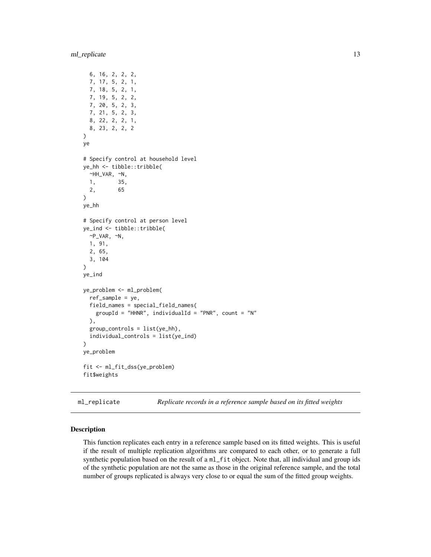#### <span id="page-12-0"></span>ml\_replicate 13

```
6, 16, 2, 2, 2,
  7, 17, 5, 2, 1,
  7, 18, 5, 2, 1,
  7, 19, 5, 2, 2,
  7, 20, 5, 2, 3,
  7, 21, 5, 2, 3,
  8, 22, 2, 2, 1,
  8, 23, 2, 2, 2
\mathcal{L}ye
# Specify control at household level
ye_hh <- tibble::tribble(
  ~HH_VAR, ~N,
  1, 35,
  2, 65
\mathcal{L}ye_hh
# Specify control at person level
ye_ind <- tibble::tribble(
  \neg P_VAR, \neg N,
  1, 91,
  2, 65,
  3, 104
)
ye_ind
ye_problem <- ml_problem(
  ref_sample = ye,
  field_names = special_field_names(
    groupId = "HHNR", individualId = "PNR", count = "N"),
  group_controls = list(ye_hh),
  individual_controls = list(ye_ind)
\lambdaye_problem
fit <- ml_fit_dss(ye_problem)
fit$weights
```
ml\_replicate *Replicate records in a reference sample based on its fitted weights*

#### Description

This function replicates each entry in a reference sample based on its fitted weights. This is useful if the result of multiple replication algorithms are compared to each other, or to generate a full synthetic population based on the result of a ml\_fit object. Note that, all individual and group ids of the synthetic population are not the same as those in the original reference sample, and the total number of groups replicated is always very close to or equal the sum of the fitted group weights.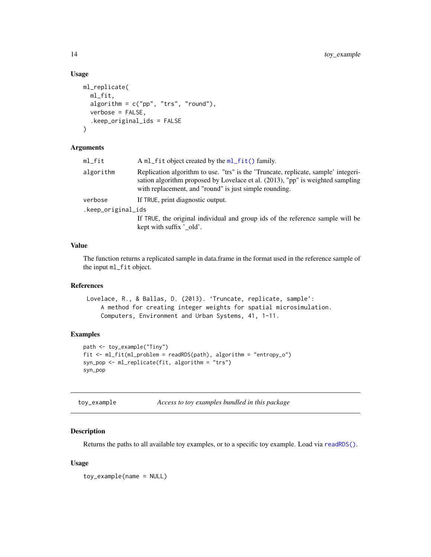#### Usage

```
ml_replicate(
 ml_fit,
  algorithm = c("pp", "trs", "round"),
  verbose = FALSE,
  .keep_original_ids = FALSE
\lambda
```
#### Arguments

| ml_fit             | A ml_fit object created by the ml_fit() family.                                                                                                                                                                                |
|--------------------|--------------------------------------------------------------------------------------------------------------------------------------------------------------------------------------------------------------------------------|
| algorithm          | Replication algorithm to use. "trs" is the 'Truncate, replicate, sample' integeri-<br>sation algorithm proposed by Lovelace et al. (2013), "pp" is weighted sampling<br>with replacement, and "round" is just simple rounding. |
| verbose            | If TRUE, print diagnostic output.                                                                                                                                                                                              |
| .keep_original_ids |                                                                                                                                                                                                                                |
|                    | If TRUE, the original individual and group ids of the reference sample will be                                                                                                                                                 |
|                    | kept with suffix '_old'.                                                                                                                                                                                                       |
|                    |                                                                                                                                                                                                                                |

#### Value

The function returns a replicated sample in data.frame in the format used in the reference sample of the input ml\_fit object.

#### References

```
Lovelace, R., & Ballas, D. (2013). 'Truncate, replicate, sample':
    A method for creating integer weights for spatial microsimulation.
    Computers, Environment and Urban Systems, 41, 1-11.
```
#### Examples

```
path <- toy_example("Tiny")
fit <- ml_fit(ml_problem = readRDS(path), algorithm = "entropy_o")
syn_pop <- ml_replicate(fit, algorithm = "trs")
syn_pop
```
toy\_example *Access to toy examples bundled in this package*

#### Description

Returns the paths to all available toy examples, or to a specific toy example. Load via [readRDS\(\)](#page-0-0).

#### Usage

toy\_example(name = NULL)

<span id="page-13-0"></span>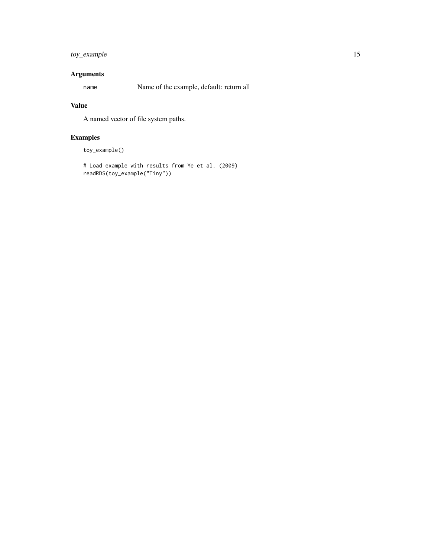#### toy\_example 15

#### Arguments

name Name of the example, default: return all

#### Value

A named vector of file system paths.

### Examples

toy\_example()

```
# Load example with results from Ye et al. (2009)
readRDS(toy_example("Tiny"))
```